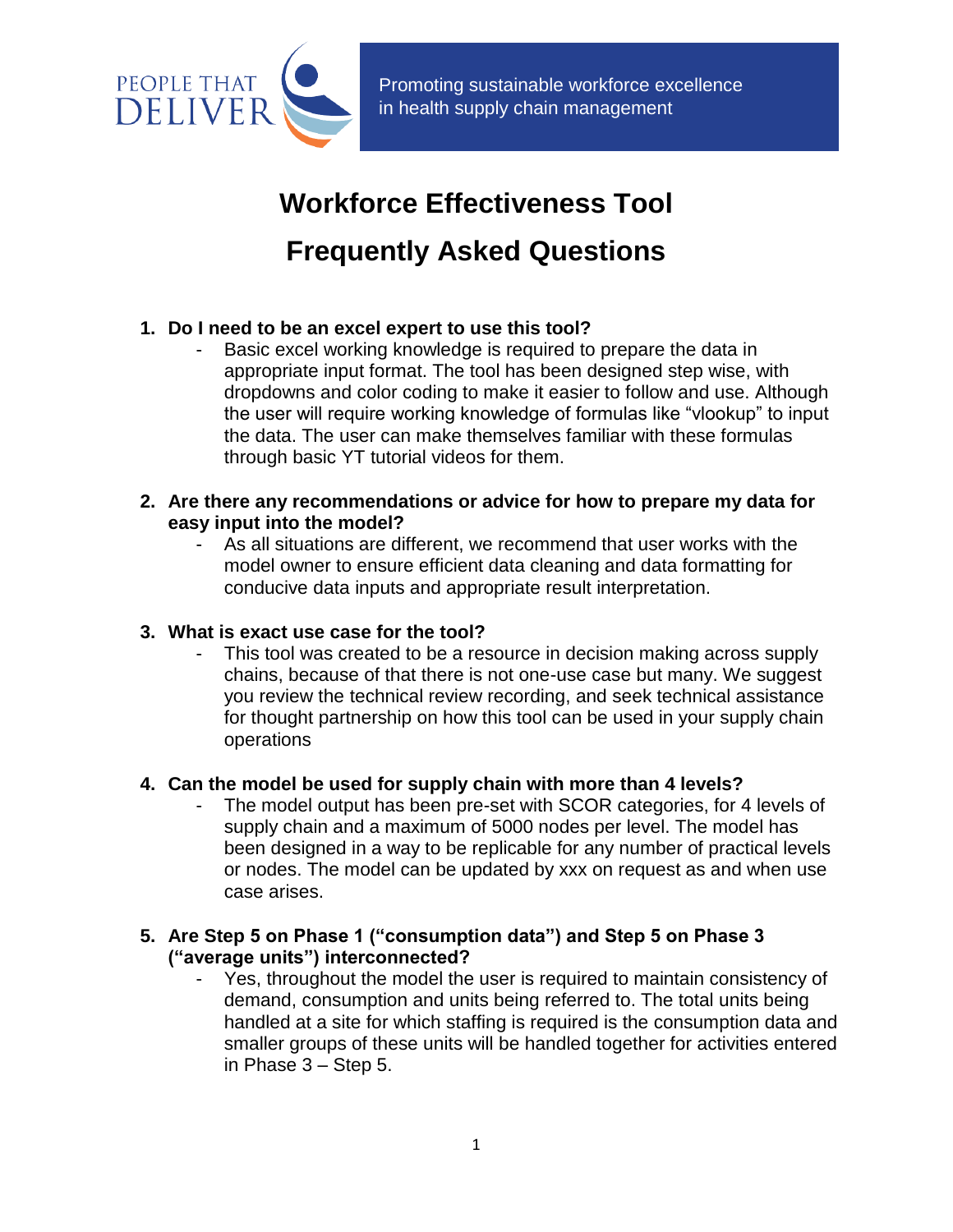

 Promoting sustainable workforce excellence in health supply chain management

# **Workforce Effectiveness Tool Frequently Asked Questions**

# **1. Do I need to be an excel expert to use this tool?**

Basic excel working knowledge is required to prepare the data in appropriate input format. The tool has been designed step wise, with dropdowns and color coding to make it easier to follow and use. Although the user will require working knowledge of formulas like "vlookup" to input the data. The user can make themselves familiar with these formulas through basic YT tutorial videos for them.

# **2. Are there any recommendations or advice for how to prepare my data for easy input into the model?**

As all situations are different, we recommend that user works with the model owner to ensure efficient data cleaning and data formatting for conducive data inputs and appropriate result interpretation.

# **3. What is exact use case for the tool?**

This tool was created to be a resource in decision making across supply chains, because of that there is not one-use case but many. We suggest you review the technical review recording, and seek technical assistance for thought partnership on how this tool can be used in your supply chain operations

## **4. Can the model be used for supply chain with more than 4 levels?**

The model output has been pre-set with SCOR categories, for 4 levels of supply chain and a maximum of 5000 nodes per level. The model has been designed in a way to be replicable for any number of practical levels or nodes. The model can be updated by xxx on request as and when use case arises.

# **5. Are Step 5 on Phase 1 ("consumption data") and Step 5 on Phase 3 ("average units") interconnected?**

Yes, throughout the model the user is required to maintain consistency of demand, consumption and units being referred to. The total units being handled at a site for which staffing is required is the consumption data and smaller groups of these units will be handled together for activities entered in Phase 3 – Step 5.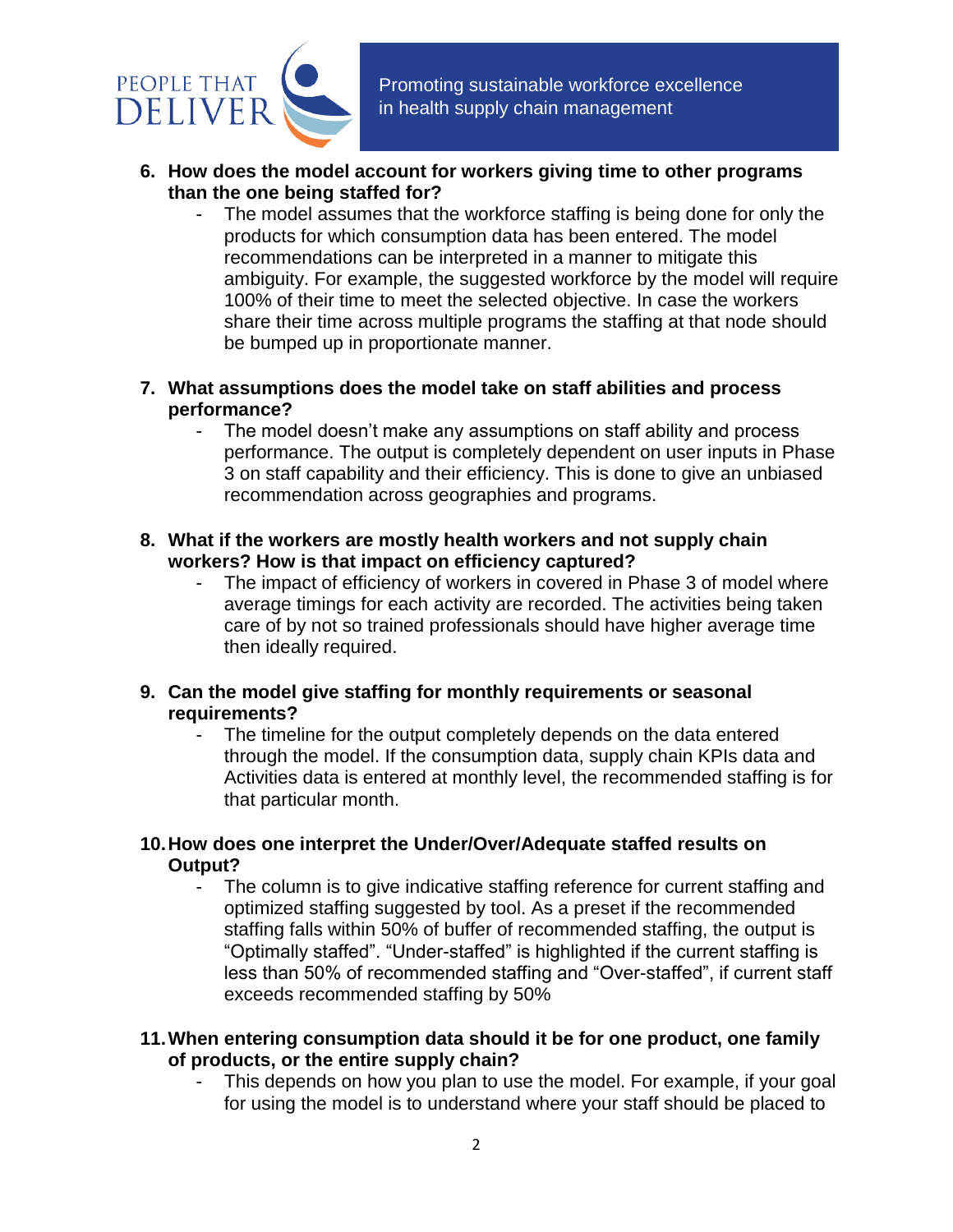

- **6. How does the model account for workers giving time to other programs than the one being staffed for?**
	- The model assumes that the workforce staffing is being done for only the products for which consumption data has been entered. The model recommendations can be interpreted in a manner to mitigate this ambiguity. For example, the suggested workforce by the model will require 100% of their time to meet the selected objective. In case the workers share their time across multiple programs the staffing at that node should be bumped up in proportionate manner.
- **7. What assumptions does the model take on staff abilities and process performance?**
	- The model doesn't make any assumptions on staff ability and process performance. The output is completely dependent on user inputs in Phase 3 on staff capability and their efficiency. This is done to give an unbiased recommendation across geographies and programs.
- **8. What if the workers are mostly health workers and not supply chain workers? How is that impact on efficiency captured?**
	- The impact of efficiency of workers in covered in Phase 3 of model where average timings for each activity are recorded. The activities being taken care of by not so trained professionals should have higher average time then ideally required.
- **9. Can the model give staffing for monthly requirements or seasonal requirements?**
	- The timeline for the output completely depends on the data entered through the model. If the consumption data, supply chain KPIs data and Activities data is entered at monthly level, the recommended staffing is for that particular month.
- **10.How does one interpret the Under/Over/Adequate staffed results on Output?**
	- The column is to give indicative staffing reference for current staffing and optimized staffing suggested by tool. As a preset if the recommended staffing falls within 50% of buffer of recommended staffing, the output is "Optimally staffed". "Under-staffed" is highlighted if the current staffing is less than 50% of recommended staffing and "Over-staffed", if current staff exceeds recommended staffing by 50%
- **11.When entering consumption data should it be for one product, one family of products, or the entire supply chain?**
	- This depends on how you plan to use the model. For example, if your goal for using the model is to understand where your staff should be placed to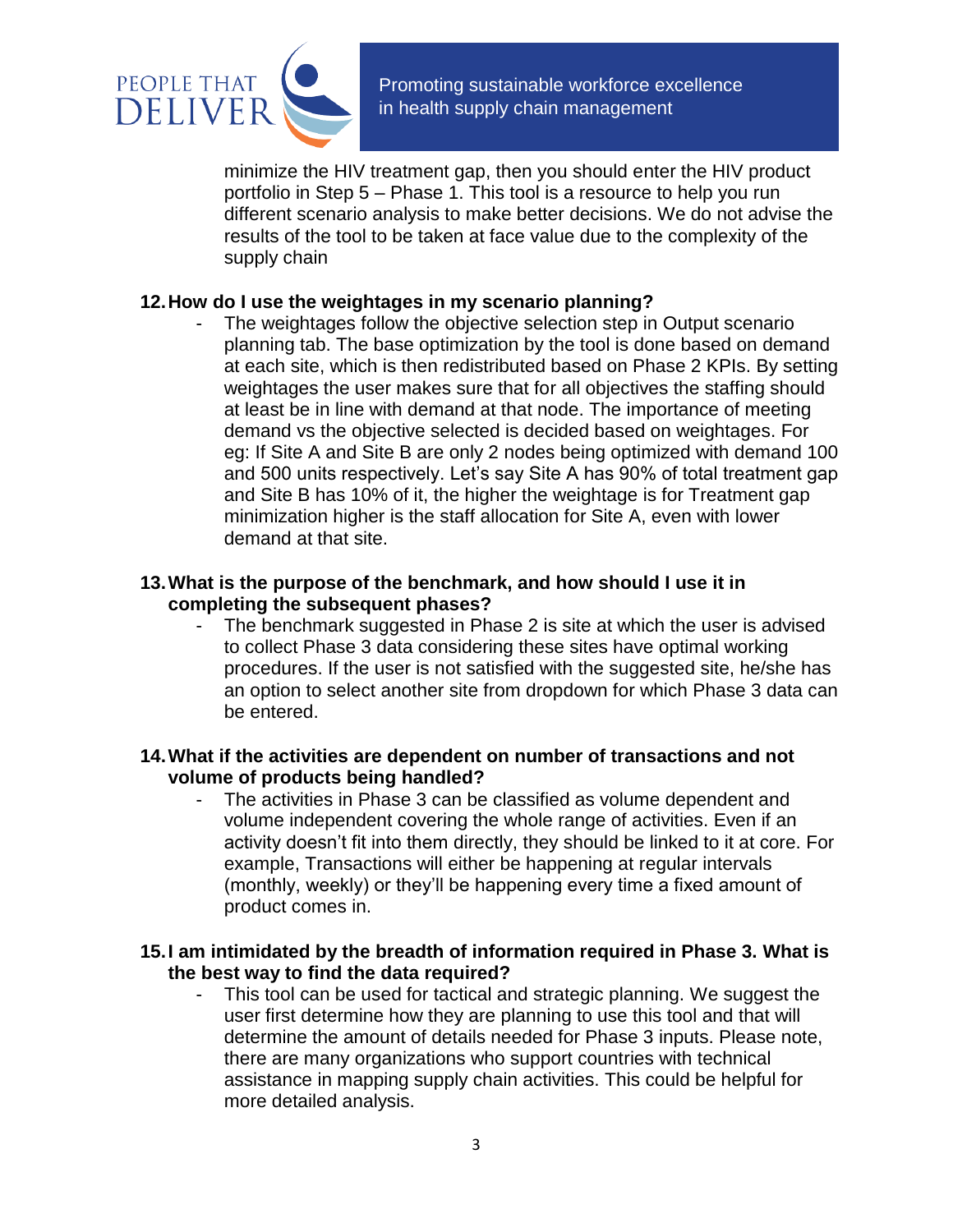

 Promoting sustainable workforce excellence in health supply chain management

minimize the HIV treatment gap, then you should enter the HIV product portfolio in Step 5 – Phase 1. This tool is a resource to help you run different scenario analysis to make better decisions. We do not advise the results of the tool to be taken at face value due to the complexity of the supply chain

#### **12.How do I use the weightages in my scenario planning?**

The weightages follow the objective selection step in Output scenario planning tab. The base optimization by the tool is done based on demand at each site, which is then redistributed based on Phase 2 KPIs. By setting weightages the user makes sure that for all objectives the staffing should at least be in line with demand at that node. The importance of meeting demand vs the objective selected is decided based on weightages. For eg: If Site A and Site B are only 2 nodes being optimized with demand 100 and 500 units respectively. Let's say Site A has 90% of total treatment gap and Site B has 10% of it, the higher the weightage is for Treatment gap minimization higher is the staff allocation for Site A, even with lower demand at that site.

#### **13.What is the purpose of the benchmark, and how should I use it in completing the subsequent phases?**

The benchmark suggested in Phase 2 is site at which the user is advised to collect Phase 3 data considering these sites have optimal working procedures. If the user is not satisfied with the suggested site, he/she has an option to select another site from dropdown for which Phase 3 data can be entered.

#### **14.What if the activities are dependent on number of transactions and not volume of products being handled?**

The activities in Phase 3 can be classified as volume dependent and volume independent covering the whole range of activities. Even if an activity doesn't fit into them directly, they should be linked to it at core. For example, Transactions will either be happening at regular intervals (monthly, weekly) or they'll be happening every time a fixed amount of product comes in.

#### **15.I am intimidated by the breadth of information required in Phase 3. What is the best way to find the data required?**

This tool can be used for tactical and strategic planning. We suggest the user first determine how they are planning to use this tool and that will determine the amount of details needed for Phase 3 inputs. Please note, there are many organizations who support countries with technical assistance in mapping supply chain activities. This could be helpful for more detailed analysis.